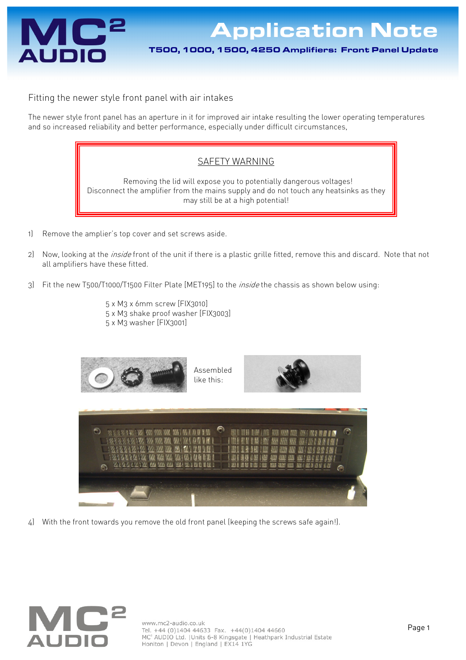

Application Note T500, 1000, 1500, 4250 Amplifiers: Front Panel Update

Fitting the newer style front panel with air intakes

The newer style front panel has an aperture in it for improved air intake resulting the lower operating temperatures and so increased reliability and better performance, especially under difficult circumstances,

## SAFETY WARNING

 Removing the lid will expose you to potentially dangerous voltages! Disconnect the amplifier from the mains supply and do not touch any heatsinks as they may still be at a high potential!

- 1) Remove the amplier's top cover and set screws aside.
- 2) Now, looking at the *inside* front of the unit if there is a plastic grille fitted, remove this and discard. Note that not all amplifiers have these fitted.
- 3) Fit the new T500/T1000/T1500 Filter Plate [MET195] to the *inside* the chassis as shown below using:
	- 5 x M3 x 6mm screw [FIX3010] 5 x M3 shake proof washer [FIX3003] 5 x M3 washer [FIX3001]



4) With the front towards you remove the old front panel (keeping the screws safe again!).